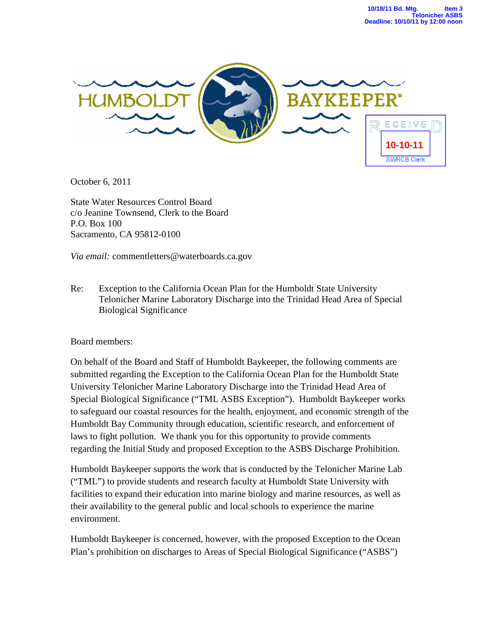

October 6, 2011

State Water Resources Control Board c/o Jeanine Townsend, Clerk to the Board P.O. Box 100 Sacramento, CA 95812-0100

*Via email:* commentletters@waterboards.ca.gov

Re: Exception to the California Ocean Plan for the Humboldt State University Telonicher Marine Laboratory Discharge into the Trinidad Head Area of Special Biological Significance

Board members:

On behalf of the Board and Staff of Humboldt Baykeeper, the following comments are submitted regarding the Exception to the California Ocean Plan for the Humboldt State University Telonicher Marine Laboratory Discharge into the Trinidad Head Area of Special Biological Significance ("TML ASBS Exception"). Humboldt Baykeeper works to safeguard our coastal resources for the health, enjoyment, and economic strength of the Humboldt Bay Community through education, scientific research, and enforcement of laws to fight pollution. We thank you for this opportunity to provide comments regarding the Initial Study and proposed Exception to the ASBS Discharge Prohibition.

Humboldt Baykeeper supports the work that is conducted by the Telonicher Marine Lab ("TML") to provide students and research faculty at Humboldt State University with facilities to expand their education into marine biology and marine resources, as well as their availability to the general public and local schools to experience the marine environment.

Humboldt Baykeeper is concerned, however, with the proposed Exception to the Ocean Plan's prohibition on discharges to Areas of Special Biological Significance ("ASBS")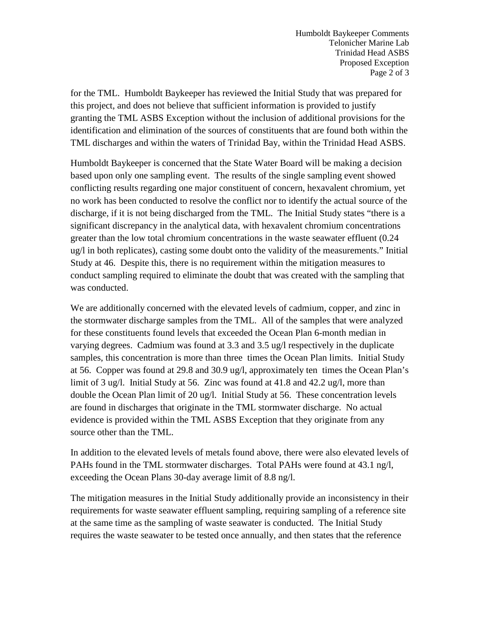Humboldt Baykeeper Comments Telonicher Marine Lab Trinidad Head ASBS Proposed Exception Page 2 of 3

for the TML. Humboldt Baykeeper has reviewed the Initial Study that was prepared for this project, and does not believe that sufficient information is provided to justify granting the TML ASBS Exception without the inclusion of additional provisions for the identification and elimination of the sources of constituents that are found both within the TML discharges and within the waters of Trinidad Bay, within the Trinidad Head ASBS.

Humboldt Baykeeper is concerned that the State Water Board will be making a decision based upon only one sampling event. The results of the single sampling event showed conflicting results regarding one major constituent of concern, hexavalent chromium, yet no work has been conducted to resolve the conflict nor to identify the actual source of the discharge, if it is not being discharged from the TML. The Initial Study states "there is a significant discrepancy in the analytical data, with hexavalent chromium concentrations greater than the low total chromium concentrations in the waste seawater effluent (0.24 ug/l in both replicates), casting some doubt onto the validity of the measurements." Initial Study at 46. Despite this, there is no requirement within the mitigation measures to conduct sampling required to eliminate the doubt that was created with the sampling that was conducted.

We are additionally concerned with the elevated levels of cadmium, copper, and zinc in the stormwater discharge samples from the TML. All of the samples that were analyzed for these constituents found levels that exceeded the Ocean Plan 6-month median in varying degrees. Cadmium was found at 3.3 and 3.5 ug/l respectively in the duplicate samples, this concentration is more than three times the Ocean Plan limits. Initial Study at 56. Copper was found at 29.8 and 30.9 ug/l, approximately ten times the Ocean Plan's limit of 3 ug/l. Initial Study at 56. Zinc was found at 41.8 and 42.2 ug/l, more than double the Ocean Plan limit of 20 ug/l. Initial Study at 56. These concentration levels are found in discharges that originate in the TML stormwater discharge. No actual evidence is provided within the TML ASBS Exception that they originate from any source other than the TML.

In addition to the elevated levels of metals found above, there were also elevated levels of PAHs found in the TML stormwater discharges. Total PAHs were found at 43.1 ng/l, exceeding the Ocean Plans 30-day average limit of 8.8 ng/l.

The mitigation measures in the Initial Study additionally provide an inconsistency in their requirements for waste seawater effluent sampling, requiring sampling of a reference site at the same time as the sampling of waste seawater is conducted. The Initial Study requires the waste seawater to be tested once annually, and then states that the reference